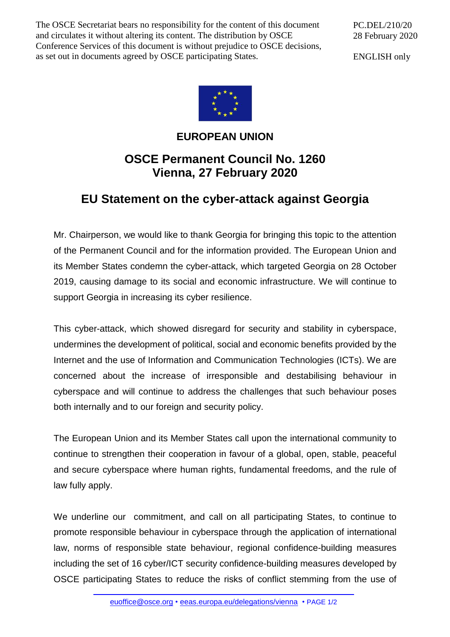The OSCE Secretariat bears no responsibility for the content of this document and circulates it without altering its content. The distribution by OSCE Conference Services of this document is without prejudice to OSCE decisions, as set out in documents agreed by OSCE participating States.

PC.DEL/210/20 28 February 2020

ENGLISH only



## **EUROPEAN UNION**

## **OSCE Permanent Council No. 1260 Vienna, 27 February 2020**

## **EU Statement on the cyber-attack against Georgia**

Mr. Chairperson, we would like to thank Georgia for bringing this topic to the attention of the Permanent Council and for the information provided. The European Union and its Member States condemn the cyber-attack, which targeted Georgia on 28 October 2019, causing damage to its social and economic infrastructure. We will continue to support Georgia in increasing its cyber resilience.

This cyber-attack, which showed disregard for security and stability in cyberspace, undermines the development of political, social and economic benefits provided by the Internet and the use of Information and Communication Technologies (ICTs). We are concerned about the increase of irresponsible and destabilising behaviour in cyberspace and will continue to address the challenges that such behaviour poses both internally and to our foreign and security policy.

The European Union and its Member States call upon the international community to continue to strengthen their cooperation in favour of a global, open, stable, peaceful and secure cyberspace where human rights, fundamental freedoms, and the rule of law fully apply.

We underline our commitment, and call on all participating States, to continue to promote responsible behaviour in cyberspace through the application of international law, norms of responsible state behaviour, regional confidence-building measures including the set of 16 cyber/ICT security confidence-building measures developed by OSCE participating States to reduce the risks of conflict stemming from the use of